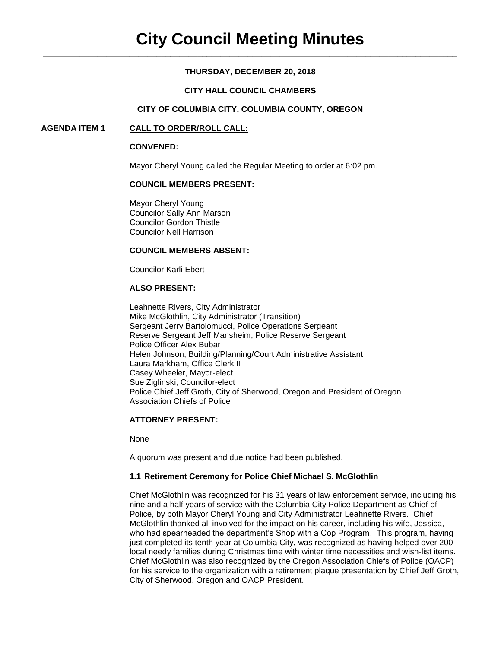# **THURSDAY, DECEMBER 20, 2018**

## **CITY HALL COUNCIL CHAMBERS**

#### **CITY OF COLUMBIA CITY, COLUMBIA COUNTY, OREGON**

#### **AGENDA ITEM 1 CALL TO ORDER/ROLL CALL:**

#### **CONVENED:**

Mayor Cheryl Young called the Regular Meeting to order at 6:02 pm.

## **COUNCIL MEMBERS PRESENT:**

Mayor Cheryl Young Councilor Sally Ann Marson Councilor Gordon Thistle Councilor Nell Harrison

#### **COUNCIL MEMBERS ABSENT:**

Councilor Karli Ebert

# **ALSO PRESENT:**

Leahnette Rivers, City Administrator Mike McGlothlin, City Administrator (Transition) Sergeant Jerry Bartolomucci, Police Operations Sergeant Reserve Sergeant Jeff Mansheim, Police Reserve Sergeant Police Officer Alex Bubar Helen Johnson, Building/Planning/Court Administrative Assistant Laura Markham, Office Clerk II Casey Wheeler, Mayor-elect Sue Ziglinski, Councilor-elect Police Chief Jeff Groth, City of Sherwood, Oregon and President of Oregon Association Chiefs of Police

# **ATTORNEY PRESENT:**

None

A quorum was present and due notice had been published.

#### **1.1 Retirement Ceremony for Police Chief Michael S. McGlothlin**

Chief McGlothlin was recognized for his 31 years of law enforcement service, including his nine and a half years of service with the Columbia City Police Department as Chief of Police, by both Mayor Cheryl Young and City Administrator Leahnette Rivers. Chief McGlothlin thanked all involved for the impact on his career, including his wife, Jessica, who had spearheaded the department's Shop with a Cop Program. This program, having just completed its tenth year at Columbia City, was recognized as having helped over 200 local needy families during Christmas time with winter time necessities and wish-list items. Chief McGlothlin was also recognized by the Oregon Association Chiefs of Police (OACP) for his service to the organization with a retirement plaque presentation by Chief Jeff Groth, City of Sherwood, Oregon and OACP President.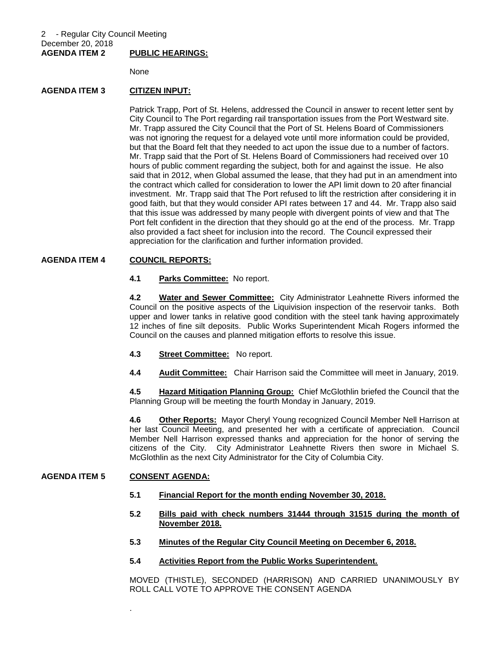None

# **AGENDA ITEM 3 CITIZEN INPUT:**

Patrick Trapp, Port of St. Helens, addressed the Council in answer to recent letter sent by City Council to The Port regarding rail transportation issues from the Port Westward site. Mr. Trapp assured the City Council that the Port of St. Helens Board of Commissioners was not ignoring the request for a delayed vote until more information could be provided, but that the Board felt that they needed to act upon the issue due to a number of factors. Mr. Trapp said that the Port of St. Helens Board of Commissioners had received over 10 hours of public comment regarding the subject, both for and against the issue. He also said that in 2012, when Global assumed the lease, that they had put in an amendment into the contract which called for consideration to lower the API limit down to 20 after financial investment. Mr. Trapp said that The Port refused to lift the restriction after considering it in good faith, but that they would consider API rates between 17 and 44. Mr. Trapp also said that this issue was addressed by many people with divergent points of view and that The Port felt confident in the direction that they should go at the end of the process. Mr. Trapp also provided a fact sheet for inclusion into the record. The Council expressed their appreciation for the clarification and further information provided.

#### **AGENDA ITEM 4 COUNCIL REPORTS:**

**4.1 Parks Committee:** No report.

**4.2 Water and Sewer Committee:** City Administrator Leahnette Rivers informed the Council on the positive aspects of the Liquivision inspection of the reservoir tanks. Both upper and lower tanks in relative good condition with the steel tank having approximately 12 inches of fine silt deposits. Public Works Superintendent Micah Rogers informed the Council on the causes and planned mitigation efforts to resolve this issue.

- **4.3 Street Committee:** No report.
- **4.4 Audit Committee:** Chair Harrison said the Committee will meet in January, 2019.

**4.5 Hazard Mitigation Planning Group:** Chief McGlothlin briefed the Council that the Planning Group will be meeting the fourth Monday in January, 2019.

**4.6 Other Reports:** Mayor Cheryl Young recognized Council Member Nell Harrison at her last Council Meeting, and presented her with a certificate of appreciation. Council Member Nell Harrison expressed thanks and appreciation for the honor of serving the citizens of the City. City Administrator Leahnette Rivers then swore in Michael S. McGlothlin as the next City Administrator for the City of Columbia City.

#### **AGENDA ITEM 5 CONSENT AGENDA:**

.

- **5.1 Financial Report for the month ending November 30, 2018.**
- **5.2 Bills paid with check numbers 31444 through 31515 during the month of November 2018.**
- **5.3 Minutes of the Regular City Council Meeting on December 6, 2018.**
- **5.4 Activities Report from the Public Works Superintendent.**

MOVED (THISTLE), SECONDED (HARRISON) AND CARRIED UNANIMOUSLY BY ROLL CALL VOTE TO APPROVE THE CONSENT AGENDA